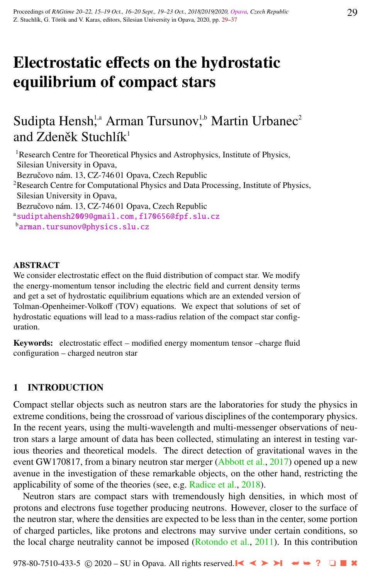# Electrostatic effects on the hydrostatic equilibrium of compact stars

# Sudipta Hensh,<sup>1,a</sup> Arman Tursunov,<sup>1,b</sup> Martin Urbanec<sup>2</sup> and  $Z$ deněk Stuchlík<sup>1</sup>

<sup>1</sup>Research Centre for Theoretical Physics and Astrophysics, Institute of Physics, Silesian University in Opava, Bezručovo nám. 13, CZ-74601 Opava, Czech Republic <sup>2</sup>Research Centre for Computational Physics and Data Processing, Institute of Physics, Silesian University in Opava, Bezručovo nám. 13, CZ-746 01 Opava, Czech Republic a[sudiptahensh2009@gmail.com,f170656@fpf.slu.cz](http://www.physics.cz/ sudiptahensh2009@gmail.com, f170656@fpf.slu.cz) <sup>b</sup>[arman.tursunov@physics.slu.cz](http://www.physics.cz/ arman.tursunov@physics.slu.cz)

### ABSTRACT

We consider electrostatic effect on the fluid distribution of compact star. We modify the energy-momentum tensor including the electric field and current density terms and get a set of hydrostatic equilibrium equations which are an extended version of Tolman-Openheimer-Volkoff (TOV) equations. We expect that solutions of set of hydrostatic equations will lead to a mass-radius relation of the compact star configuration.

Keywords: electrostatic effect – modified energy momentum tensor –charge fluid configuration – charged neutron star

### 1 INTRODUCTION

Compact stellar objects such as neutron stars are the laboratories for study the physics in extreme conditions, being the crossroad of various disciplines of the contemporary physics. In the recent years, using the multi-wavelength and multi-messenger observations of neutron stars a large amount of data has been collected, stimulating an interest in testing various theories and theoretical models. The direct detection of gravitational waves in the event GW170817, from a binary neutron star merger [\(Abbott et al.,](#page-7-0)  $2017$ ) opened up a new avenue in the investigation of these remarkable objects, on the other hand, restricting the applicability of some of the theories (see, e.g. [Radice et al.,](#page-8-0) [2018\)](#page-8-0).

Neutron stars are compact stars with tremendously high densities, in which most of protons and electrons fuse together producing neutrons. However, closer to the surface of the neutron star, where the densities are expected to be less than in the center, some portion of charged particles, like protons and electrons may survive under certain conditions, so the local charge neutrality cannot be imposed [\(Rotondo et al.,](#page-8-0) [2011\)](#page-8-0). In this contribution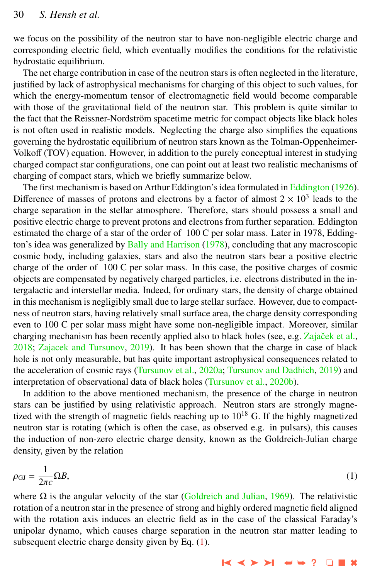we focus on the possibility of the neutron star to have non-negligible electric charge and corresponding electric field, which eventually modifies the conditions for the relativistic hydrostatic equilibrium.

The net charge contribution in case of the neutron stars is often neglected in the literature, justified by lack of astrophysical mechanisms for charging of this object to such values, for which the energy-momentum tensor of electromagnetic field would become comparable with those of the gravitational field of the neutron star. This problem is quite similar to the fact that the Reissner-Nordström spacetime metric for compact objects like black holes is not often used in realistic models. Neglecting the charge also simplifies the equations governing the hydrostatic equilibrium of neutron stars known as the Tolman-Oppenheimer-Volkoff (TOV) equation. However, in addition to the purely conceptual interest in studying charged compact star configurations, one can point out at least two realistic mechanisms of charging of compact stars, which we briefly summarize below.

The first mechanism is based on Arthur Eddington's idea formulated in [Eddington](#page-7-0) [\(1926\)](#page-7-0). Difference of masses of protons and electrons by a factor of almost  $2 \times 10^3$  leads to the charge separation in the stellar atmosphere. Therefore, stars should possess a small and positive electric charge to prevent protons and electrons from further separation. Eddington estimated the charge of a star of the order of 100 C per solar mass. Later in 1978, Eddington's idea was generalized by [Bally and Harrison](#page-7-0) [\(1978\)](#page-7-0), concluding that any macroscopic cosmic body, including galaxies, stars and also the neutron stars bear a positive electric charge of the order of 100 C per solar mass. In this case, the positive charges of cosmic objects are compensated by negatively charged particles, i.e. electrons distributed in the intergalactic and interstellar media. Indeed, for ordinary stars, the density of charge obtained in this mechanism is negligibly small due to large stellar surface. However, due to compactness of neutron stars, having relatively small surface area, the charge density corresponding even to 100 C per solar mass might have some non-negligible impact. Moreover, similar charging mechanism has been recently applied also to black holes (see, e.g. Zajaček et al., [2018;](#page-8-0) [Zajacek and Tursunov,](#page-8-0) [2019\)](#page-8-0). It has been shown that the charge in case of black hole is not only measurable, but has quite important astrophysical consequences related to the acceleration of cosmic rays [\(Tursunov et al.,](#page-8-0) [2020a;](#page-8-0) [Tursunov and Dadhich,](#page-8-0) [2019\)](#page-8-0) and interpretation of observational data of black holes [\(Tursunov et al.,](#page-8-0) [2020b\)](#page-8-0).

In addition to the above mentioned mechanism, the presence of the charge in neutron stars can be justified by using relativistic approach. Neutron stars are strongly magnetized with the strength of magnetic fields reaching up to  $10^{18}$  G. If the highly magnetized neutron star is rotating (which is often the case, as observed e.g. in pulsars), this causes the induction of non-zero electric charge density, known as the Goldreich-Julian charge density, given by the relation

$$
\rho_{\rm GJ} = \frac{1}{2\pi c} \Omega B,\tag{1}
$$

 $2πc$ <br>
where Ω is the angular velocity of the star [\(Goldreich and Julian,](#page-7-0) [1969\)](#page-7-0). The relativistic rotation of a neutron star in the presence of strong and highly ordered magnetic field aligned with the rotation axis induces an electric field as in the case of the classical Faraday's unipolar dynamo, which causes charge separation in the neutron star matter leading to subsequent electric charge density given by Eq. (1).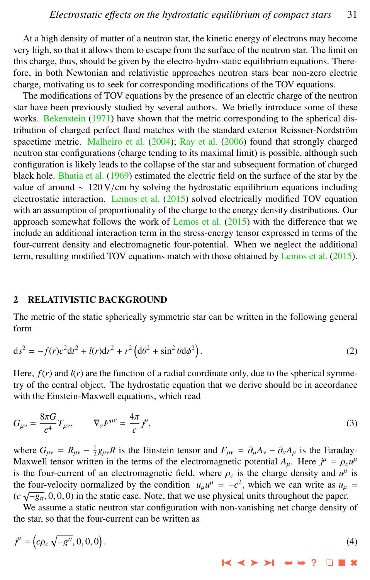<span id="page-2-0"></span>At a high density of matter of a neutron star, the kinetic energy of electrons may become very high, so that it allows them to escape from the surface of the neutron star. The limit on this charge, thus, should be given by the electro-hydro-static equilibrium equations. Therefore, in both Newtonian and relativistic approaches neutron stars bear non-zero electric charge, motivating us to seek for corresponding modifications of the TOV equations.

The modifications of TOV equations by the presence of an electric charge of the neutron star have been previously studied by several authors. We briefly introduce some of these works. [Bekenstein](#page-7-0) [\(1971\)](#page-7-0) have shown that the metric corresponding to the spherical distribution of charged perfect fluid matches with the standard exterior Reissner-Nordström spacetime metric. [Malheiro et al.](#page-7-0) [\(2004\)](#page-7-0); [Ray et al.](#page-8-0) [\(2006\)](#page-8-0) found that strongly charged neutron star configurations (charge tending to its maximal limit) is possible, although such configuration is likely leads to the collapse of the star and subsequent formation of charged black hole. [Bhatia et al.](#page-7-0) [\(1969\)](#page-7-0) estimated the electric field on the surface of the star by the value of around  $\sim 120 \text{ V/cm}$  by solving the hydrostatic equilibrium equations including electrostatic interaction. [Lemos et al.](#page-7-0) [\(2015\)](#page-7-0) solved electrically modified TOV equation with an assumption of proportionality of the charge to the energy density distributions. Our approach somewhat follows the work of [Lemos et al.](#page-7-0) [\(2015\)](#page-7-0) with the difference that we include an additional interaction term in the stress-energy tensor expressed in terms of the four-current density and electromagnetic four-potential. When we neglect the additional term, resulting modified TOV equations match with those obtained by [Lemos et al.](#page-7-0) [\(2015\)](#page-7-0).

### 2 RELATIVISTIC BACKGROUND

The metric of the static spherically symmetric star can be written in the following general form

$$
ds^{2} = -f(r)c^{2}dt^{2} + l(r)dr^{2} + r^{2}(d\theta^{2} + \sin^{2}\theta d\phi^{2}).
$$
\n(2)

Here,  $f(r)$  and  $l(r)$  are the function of a radial coordinate only, due to the spherical symmetry of the central object. The hydrostatic equation that we derive should be in accordance with the Einstein-Maxwell equations, which read

$$
G_{\mu\nu} = \frac{8\pi G}{c^4} T_{\mu\nu}, \qquad \nabla_{\nu} F^{\mu\nu} = \frac{4\pi}{c} j^{\mu}, \tag{3}
$$

where  $G_{\mu\nu} = R_{\mu\nu} - \frac{1}{2}g_{\mu\nu}R$  is the Einstein tensor and  $F_{\mu\nu} = \partial_{\mu}A_{\nu} - \partial_{\nu}A_{\mu}$  is the Faraday-<br>Maxwell tensor written in the terms of the electromagnetic potential  $A$ . Here  $i^{\mu} = Q_{\mu} \mu^{\mu}$ Maxwell tensor written in the terms of the electromagnetic potential  $A_\mu$ . Here  $j^\mu = \rho_c u^\mu$ <br>is the four-current of an electromagnetic field, where  $\rho_a$  is the charge density and  $u^\mu$  is is the four-current of an electromagnetic field, where  $\rho_c$  is the charge density and  $u^{\mu}$  is<br>the four-velocity normalized by the condition  $u u^{\mu} = -c^2$  which we can write as  $u =$ the four-velocity normalized by the condition  $u_{\mu}u^{\mu} = -c^2$ , which we can write as  $u_{\mu} = (a \sqrt{a^2 + 9a^2})^2$  $(c \sqrt{-g_{tt}}, 0, 0, 0)$  in the static case. Note, that we use physical units throughout the paper.<br>We assume a static neutron star configuration with non-vanishing net charge density

We assume a static neutron star configuration with non-vanishing net charge density of the star, so that the four-current can be written as

$$
j^{\mu} = (c\rho_c \sqrt{-g^{\mu}}, 0, 0, 0).
$$
\n
$$
(4)
$$
\n
$$
\mathbf{K} \leq \mathbf{L} \quad \mathbf{M} \quad \mathbf{M} \leq \mathbf{L} \quad \mathbf{M} \leq \mathbf{M}
$$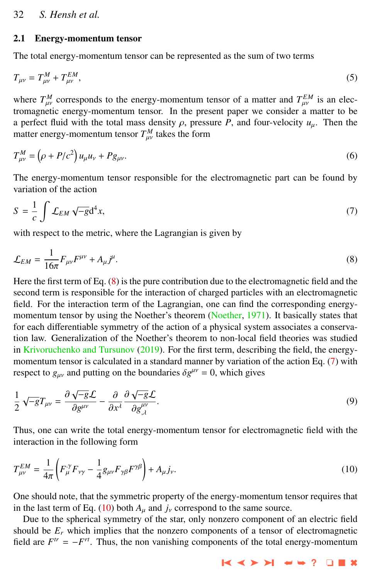#### <span id="page-3-0"></span>2.1 Energy-momentum tensor

The total energy-momentum tensor can be represented as the sum of two terms

$$
T_{\mu\nu} = T_{\mu\nu}^M + T_{\mu\nu}^{EM},\tag{5}
$$

where  $T_{\mu\nu}^{M}$  corresponds to the energy-momentum tensor of a matter and  $T_{\mu\nu}^{EM}$  is an electromagnetic energy momentum tensor. In the present paper we consider a matter to be tromagnetic energy-momentum tensor. In the present paper we consider a matter to be a perfect fluid with the total mass density  $\rho$ , pressure *P*, and four-velocity  $u_{\mu}$ . Then the matter energy-momentum tensor  $T_{\mu\nu}^{M}$  takes the form

$$
T_{\mu\nu}^M = \left(\rho + P/c^2\right)u_\mu u_\nu + P g_{\mu\nu}.\tag{6}
$$

The energy-momentum tensor responsible for the electromagnetic part can be found by variation of the action

$$
S = \frac{1}{c} \int \mathcal{L}_{EM} \sqrt{-g} \, \mathrm{d}^4 x,\tag{7}
$$

with respect to the metric, where the Lagrangian is given by

$$
\mathcal{L}_{EM} = \frac{1}{16\pi} F_{\mu\nu} F^{\mu\nu} + A_{\mu} j^{\mu}.
$$
\n(8)

Here the first term of Eq.  $(8)$  is the pure contribution due to the electromagnetic field and the second term is responsible for the interaction of charged particles with an electromagnetic field. For the interaction term of the Lagrangian, one can find the corresponding energy-momentum tensor by using the Noether's theorem [\(Noether,](#page-8-0) [1971\)](#page-8-0). It basically states that for each differentiable symmetry of the action of a physical system associates a conservation law. Generalization of the Noether's theorem to non-local field theories was studied in [Krivoruchenko and Tursunov](#page-7-0) [\(2019\)](#page-7-0). For the first term, describing the field, the energymomentum tensor is calculated in a standard manner by variation of the action Eq. (7) with respect to  $g_{\mu\nu}$  and putting on the boundaries  $\delta g^{\mu\nu} = 0$ , which gives

$$
\frac{1}{2}\sqrt{-g}T_{\mu\nu} = \frac{\partial\sqrt{-g}\mathcal{L}}{\partial g^{\mu\nu}} - \frac{\partial}{\partial x^{\lambda}}\frac{\partial\sqrt{-g}\mathcal{L}}{\partial g_{,\lambda}^{\mu\nu}}.
$$
\n(9)

Thus, one can write the total energy-momentum tensor for electromagnetic field with the interaction in the following form

$$
T_{\mu\nu}^{EM} = \frac{1}{4\pi} \left( F_{\mu}^{\gamma} F_{\nu\gamma} - \frac{1}{4} g_{\mu\nu} F_{\gamma\beta} F^{\gamma\beta} \right) + A_{\mu} j_{\nu}.
$$
 (10)

One should note, that the symmetric property of the energy-momentum tensor requires that in the last term of Eq. (10) both  $A_\mu$  and  $j_\nu$  correspond to the same source.

Due to the spherical symmetry of the star, only nonzero component of an electric field should be  $E_r$  which implies that the nonzero components of a tensor of electromagnetic field are  $F^{tr} = -F^{rt}$ . Thus, the non vanishing components of the total energy-momentum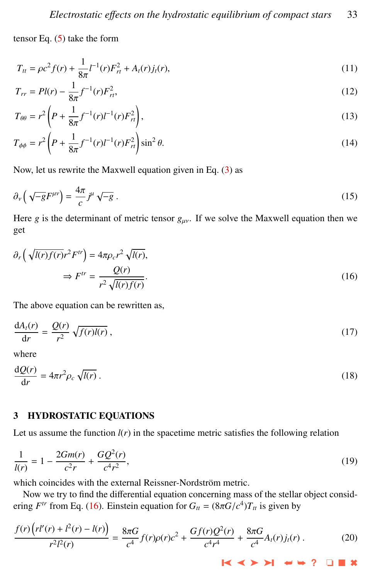<span id="page-4-0"></span>tensor Eq.  $(5)$  take the form

$$
T_{tt} = \rho c^2 f(r) + \frac{1}{8\pi} l^{-1}(r) F_{rt}^2 + A_t(r) j_t(r),
$$
\n(11)

$$
T_{rr} = Pl(r) - \frac{1}{8\pi} f^{-1}(r) F_{rr}^2,
$$
\n(12)

$$
T_{\theta\theta} = r^2 \left( P + \frac{1}{8\pi} f^{-1}(r) l^{-1}(r) F_{rt}^2 \right),\tag{13}
$$

$$
T_{\phi\phi} = r^2 \left( P + \frac{1}{8\pi} f^{-1}(r) l^{-1}(r) F_{rt}^2 \right) \sin^2 \theta.
$$
 (14)

Now, let us rewrite the Maxwell equation given in Eq. [\(3\)](#page-2-0) as

$$
\partial_{\nu} \left( \sqrt{-g} F^{\mu \nu} \right) = \frac{4\pi}{c} j^{\mu} \sqrt{-g} \ . \tag{15}
$$

Here *g* is the determinant of metric tensor  $g_{\mu\nu}$ . If we solve the Maxwell equation then we get

$$
\partial_r \left( \sqrt{l(r)f(r)} r^2 F^{tr} \right) = 4\pi \rho_c r^2 \sqrt{l(r)},
$$
  

$$
\Rightarrow F^{tr} = \frac{Q(r)}{r^2 \sqrt{l(r)f(r)}}.
$$
 (16)

The above equation can be rewritten as,

$$
\frac{\mathrm{d}A_t(r)}{\mathrm{d}r} = \frac{Q(r)}{r^2} \sqrt{f(r)l(r)}\,,\tag{17}
$$

where

$$
\frac{\mathrm{d}Q(r)}{\mathrm{d}r} = 4\pi r^2 \rho_c \sqrt{l(r)}\,. \tag{18}
$$

# 3 HYDROSTATIC EQUATIONS

Let us assume the function  $l(r)$  in the spacetime metric satisfies the following relation

$$
\frac{1}{l(r)} = 1 - \frac{2Gm(r)}{c^2r} + \frac{GQ^2(r)}{c^4r^2},\tag{19}
$$

which coincides with the external Reissner-Nordström metric.

Now we try to find the differential equation concerning mass of the stellar object considering *F*<sup>*tr*</sup> from Eq. (16). Einstein equation for  $G_t = (8\pi G/c^4)T_t$  is given by

$$
\frac{f(r)\left(r l'(r) + l^2(r) - l(r)\right)}{r^2 l^2(r)} = \frac{8\pi G}{c^4} f(r)\rho(r)c^2 + \frac{Gf(r)Q^2(r)}{c^4 r^4} + \frac{8\pi G}{c^4} A_t(r)j_t(r) \,. \tag{20}
$$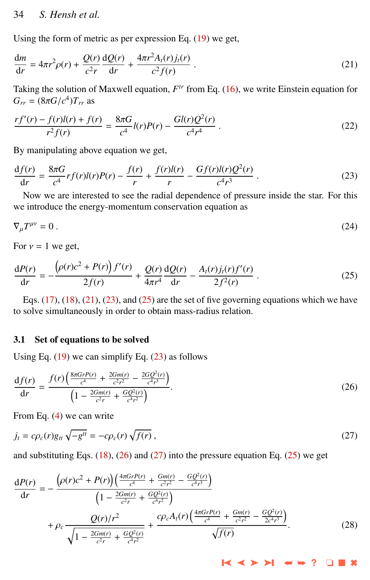Using the form of metric as per expression Eq.  $(19)$  we get,

$$
\frac{dm}{dr} = 4\pi r^2 \rho(r) + \frac{Q(r)}{c^2 r} \frac{dQ(r)}{dr} + \frac{4\pi r^2 A_i(r) j_i(r)}{c^2 f(r)}.
$$
\n(21)

Taking the solution of Maxwell equation, *F tr* from Eq. [\(16\)](#page-4-0), we write Einstein equation for  $G_{rr} = (8\pi G/c^4)T_{rr}$  as

$$
\frac{rf'(r) - f(r)l(r) + f(r)}{r^2 f(r)} = \frac{8\pi G}{c^4} l(r)P(r) - \frac{Gl(r)Q^2(r)}{c^4r^4} \,. \tag{22}
$$

By manipulating above equation we get,

$$
\frac{df(r)}{dr} = \frac{8\pi G}{c^4} rf(r)l(r)P(r) - \frac{f(r)}{r} + \frac{f(r)l(r)}{r} - \frac{Gf(r)l(r)Q^2(r)}{c^4r^3} \,. \tag{23}
$$

Now we are interested to see the radial dependence of pressure inside the star. For this we introduce the energy-momentum conservation equation as

$$
\nabla_{\mu}T^{\mu\nu} = 0. \tag{24}
$$

For  $v = 1$  we get,

$$
\frac{dP(r)}{dr} = -\frac{\left(\rho(r)c^2 + P(r)\right)f'(r)}{2f(r)} + \frac{Q(r)}{4\pi r^4} \frac{dQ(r)}{dr} - \frac{A_t(r)j_t(r)f'(r)}{2f^2(r)}\,. \tag{25}
$$

Eqs.  $(17)$ ,  $(18)$ ,  $(21)$ ,  $(23)$ , and  $(25)$  are the set of five governing equations which we have to solve simultaneously in order to obtain mass-radius relation.

# 3.1 Set of equations to be solved

Using Eq.  $(19)$  we can simplify Eq.  $(23)$  as follows

$$
\frac{df(r)}{dr} = \frac{f(r)\left(\frac{8\pi GrP(r)}{c^4} + \frac{2Gm(r)}{c^2r^2} - \frac{2GQ^2(r)}{c^4r^3}\right)}{\left(1 - \frac{2Gm(r)}{c^2r} + \frac{GQ^2(r)}{c^4r^2}\right)}.
$$
(26)

From Eq. [\(4\)](#page-2-0) we can write

$$
j_t = c\rho_c(r)g_{tt}\sqrt{-g^{tt}} = -c\rho_c(r)\sqrt{f(r)},
$$
\n(27)

and substituting Eqs.  $(18)$ ,  $(26)$  and  $(27)$  into the pressure equation Eq.  $(25)$  we get

$$
\frac{dP(r)}{dr} = -\frac{\left(\rho(r)c^2 + P(r)\right)\left(\frac{4\pi GrP(r)}{c^4} + \frac{Gm(r)}{c^2r^2} - \frac{GQ^2(r)}{c^4r^3}\right)}{\left(1 - \frac{2Gm(r)}{c^2r} + \frac{GQ^2(r)}{c^4r^2}\right)}
$$

$$
+ \rho_c \frac{Q(r)/r^2}{\sqrt{1 - \frac{2Gm(r)}{c^2r} + \frac{GQ^2(r)}{c^4r^2}}} + \frac{c\rho_c A_t(r)\left(\frac{4\pi GrP(r)}{c^4} + \frac{Gm(r)}{c^2r^2} - \frac{GQ^2(r)}{2c^4r^3}\right)}{\sqrt{f(r)}}.
$$
(28)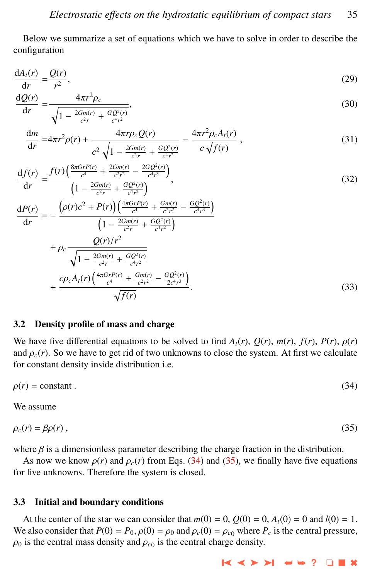<span id="page-6-0"></span>Below we summarize a set of equations which we have to solve in order to describe the configuration

$$
\frac{\mathrm{d}A_t(r)}{\mathrm{d}r} = \frac{Q(r)}{r^2},\tag{29}
$$

$$
\frac{dQ(r)}{dr} = \frac{4\pi r^2 \rho_c}{\sqrt{1 - \frac{2Gm(r)}{c^2 r} + \frac{GQ^2(r)}{c^4 r^2}}},
$$
\n(30)

$$
\frac{dm}{dr} = 4\pi r^2 \rho(r) + \frac{4\pi r \rho_c Q(r)}{c^2 \sqrt{1 - \frac{2Gm(r)}{c^2 r} + \frac{GQ^2(r)}{c^4 r^2}}} - \frac{4\pi r^2 \rho_c A_t(r)}{c \sqrt{f(r)}},
$$
\n(31)

$$
\frac{df(r)}{dr} = \frac{f(r)\left(\frac{8\pi GrP(r)}{c^4} + \frac{2Gm(r)}{c^2r^2} - \frac{2GQ^2(r)}{c^4r^3}\right)}{\left(1 - \frac{2Gm(r)}{c^2r} + \frac{GQ^2(r)}{c^4r^2}\right)},
$$
\n(32)

$$
\frac{dP(r)}{dr} = -\frac{\left(\rho(r)c^2 + P(r)\right)\left(\frac{4\pi GrP(r)}{c^4} + \frac{Gm(r)}{c^2r^2} - \frac{GQ^2(r)}{c^4r^3}\right)}{\left(1 - \frac{2Gm(r)}{c^2r} + \frac{GQ^2(r)}{c^4r^2}\right)}
$$

$$
+ \rho_c \frac{Q(r)/r^2}{\sqrt{1 - \frac{2Gm(r)}{c^2r} + \frac{GQ^2(r)}{c^4r^2}}}
$$

$$
+ \frac{c\rho_c A_t(r)\left(\frac{4\pi GrP(r)}{c^4} + \frac{Gm(r)}{c^2r^2} - \frac{GQ^2(r)}{2c^4r^3}\right)}{\sqrt{f(r)}}.
$$
(33)

#### 3.2 Density profile of mass and charge

We have five differential equations to be solved to find  $A_t(r)$ ,  $Q(r)$ ,  $m(r)$ ,  $f(r)$ ,  $P(r)$ ,  $\rho(r)$ and  $\rho_c(r)$ . So we have to get rid of two unknowns to close the system. At first we calculate for constant density inside distribution i.e.

$$
\rho(r) = \text{constant} \,. \tag{34}
$$

We assume

$$
\rho_c(r) = \beta \rho(r) \,,\tag{35}
$$

where  $\beta$  is a dimensionless parameter describing the charge fraction in the distribution.

As now we know  $\rho(r)$  and  $\rho_c(r)$  from Eqs. (34) and (35), we finally have five equations for five unknowns. Therefore the system is closed.

#### 3.3 Initial and boundary conditions

At the center of the star we can consider that  $m(0) = 0$ ,  $Q(0) = 0$ ,  $A_t(0) = 0$  and  $l(0) = 1$ . We also consider that  $P(0) = P_0$ ,  $\rho(0) = \rho_0$  and  $\rho_c(0) = \rho_{c0}$  where  $P_c$  is the central pressure,  $\rho_0$  is the central mass density and  $\rho_{c0}$  is the central charge density.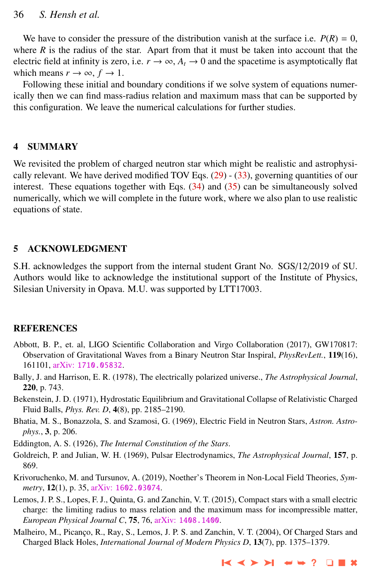<span id="page-7-0"></span>We have to consider the pressure of the distribution vanish at the surface i.e.  $P(R) = 0$ , where  $R$  is the radius of the star. Apart from that it must be taken into account that the electric field at infinity is zero, i.e.  $r \to \infty$ ,  $A_t \to 0$  and the spacetime is asymptotically flat which means  $r \to \infty$ ,  $f \to 1$ .

Following these initial and boundary conditions if we solve system of equations numerically then we can find mass-radius relation and maximum mass that can be supported by this configuration. We leave the numerical calculations for further studies.

# 4 SUMMARY

We revisited the problem of charged neutron star which might be realistic and astrophysically relevant. We have derived modified TOV Eqs. [\(29\)](#page-6-0) - [\(33\)](#page-6-0), governing quantities of our interest. These equations together with Eqs. [\(34\)](#page-6-0) and [\(35\)](#page-6-0) can be simultaneously solved numerically, which we will complete in the future work, where we also plan to use realistic equations of state.

# 5 ACKNOWLEDGMENT

S.H. acknowledges the support from the internal student Grant No. SGS/12/2019 of SU. Authors would like to acknowledge the institutional support of the Institute of Physics, Silesian University in Opava. M.U. was supported by LTT17003.

# REFERENCES

- Abbott, B. P., et. al, LIGO Scientific Collaboration and Virgo Collaboration (2017), GW170817: Observation of Gravitational Waves from a Binary Neutron Star Inspiral, *PhysRevLett.*, 119(16), 161101, arXiv: [1710.05832](http://www.arxiv.org/abs/1710.05832).
- Bally, J. and Harrison, E. R. (1978), The electrically polarized universe., *The Astrophysical Journal*, 220, p. 743.
- Bekenstein, J. D. (1971), Hydrostatic Equilibrium and Gravitational Collapse of Relativistic Charged Fluid Balls, *Phys. Rev. D*, 4(8), pp. 2185–2190.
- Bhatia, M. S., Bonazzola, S. and Szamosi, G. (1969), Electric Field in Neutron Stars, *Astron. Astrophys.*, 3, p. 206.
- Eddington, A. S. (1926), *The Internal Constitution of the Stars*.
- Goldreich, P. and Julian, W. H. (1969), Pulsar Electrodynamics, *The Astrophysical Journal*, 157, p. 869.
- Krivoruchenko, M. and Tursunov, A. (2019), Noether's Theorem in Non-Local Field Theories, *Symmetry*, 12(1), p. 35, arXiv: [1602.03074](http://www.arxiv.org/abs/1602.03074).
- Lemos, J. P. S., Lopes, F. J., Quinta, G. and Zanchin, V. T. (2015), Compact stars with a small electric charge: the limiting radius to mass relation and the maximum mass for incompressible matter, *European Physical Journal C*, 75, 76, arXiv: [1408.1400](http://www.arxiv.org/abs/1408.1400).
- Malheiro, M., Picanço, R., Ray, S., Lemos, J. P. S. and Zanchin, V. T. (2004), Of Charged Stars and Charged Black Holes, *International Journal of Modern Physics D*, 13(7), pp. 1375–1379.